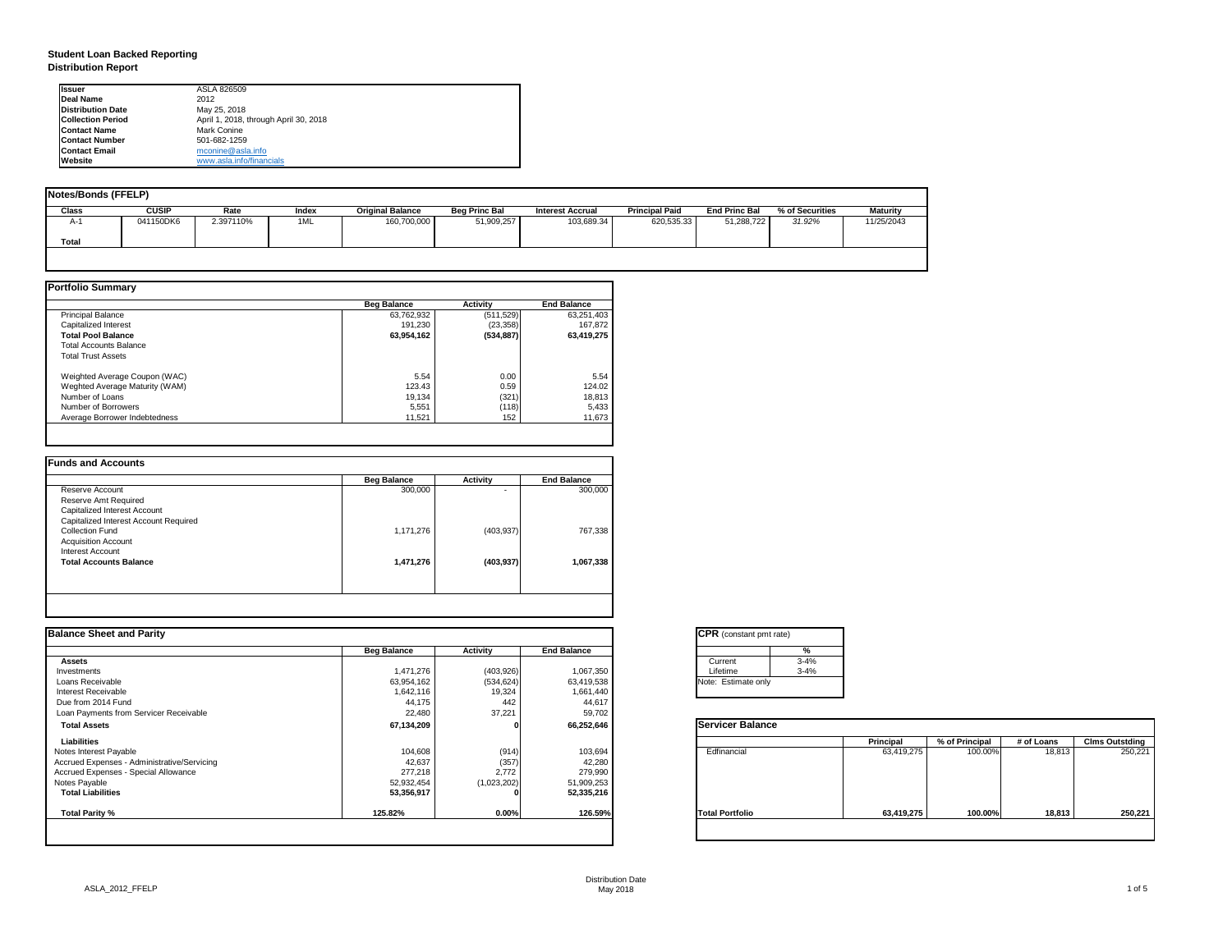# **Student Loan Backed Reporting Distribution Report**

| Notes/Bonds (FFELP) |              |           |       |                         |                      |                         |                       |                      |                 |                 |
|---------------------|--------------|-----------|-------|-------------------------|----------------------|-------------------------|-----------------------|----------------------|-----------------|-----------------|
| <b>Class</b>        | <b>CUSIP</b> | Rate      | Index | <b>Original Balance</b> | <b>Beg Princ Bal</b> | <b>Interest Accrual</b> | <b>Principal Paid</b> | <b>End Princ Bal</b> | % of Securities | <b>Maturity</b> |
| A-1                 | 041150DK6    | 2.397110% | 1ML   | 160,700,000             | 51,909,257           | 103,689.34              | 620,535.33            | 51,288,722           | 31.92%          | 11/25/2043      |
| <b>Total</b>        |              |           |       |                         |                      |                         |                       |                      |                 |                 |
|                     |              |           |       |                         |                      |                         |                       |                      |                 |                 |

|                                | <b>Beg Balance</b> | <b>Activity</b> | <b>End Balance</b> |
|--------------------------------|--------------------|-----------------|--------------------|
| <b>Principal Balance</b>       | 63,762,932         | (511, 529)      | 63,251,403         |
| <b>Capitalized Interest</b>    | 191,230            | (23, 358)       | 167,872            |
| <b>Total Pool Balance</b>      | 63,954,162         | (534, 887)      | 63,419,275         |
| <b>Total Accounts Balance</b>  |                    |                 |                    |
| <b>Total Trust Assets</b>      |                    |                 |                    |
| Weighted Average Coupon (WAC)  | 5.54               | 0.00            | 5.54               |
| Weghted Average Maturity (WAM) | 123.43             | 0.59            | 124.02             |
| Number of Loans                | 19,134             | (321)           | 18,813             |
| Number of Borrowers            | 5,551              | (118)           | 5,433              |
| Average Borrower Indebtedness  | 11,521             | 152             | 11,673             |

| 300,000   | -          | 300,000   |
|-----------|------------|-----------|
|           |            |           |
|           |            |           |
|           |            |           |
| 1,171,276 | (403, 937) | 767,338   |
|           |            |           |
|           |            |           |
| 1,471,276 | (403, 937) | 1,067,338 |
|           |            |           |
|           |            |           |

| <b>Ilssuer</b>           | ASLA 826509                           |
|--------------------------|---------------------------------------|
| <b>IDeal Name</b>        | 2012                                  |
| <b>Distribution Date</b> | May 25, 2018                          |
| <b>Collection Period</b> | April 1, 2018, through April 30, 2018 |
| <b>IContact Name</b>     | <b>Mark Conine</b>                    |
| <b>IContact Number</b>   | 501-682-1259                          |
| <b>Contact Email</b>     | mconine@asla.info                     |
| <b>IWebsite</b>          | www.asla.info/financials              |

|                    |                 |                              | <b>CPR</b> (constant pmt rate) |                  |                |            |                       |
|--------------------|-----------------|------------------------------|--------------------------------|------------------|----------------|------------|-----------------------|
| <b>Beg Balance</b> | <b>Activity</b> | <b>End Balance</b>           | %                              |                  |                |            |                       |
|                    |                 |                              | $3 - 4%$<br>Current            |                  |                |            |                       |
| 1,471,276          | (403, 926)      | 1,067,350                    | $3 - 4%$<br>Lifetime           |                  |                |            |                       |
| 63,954,162         |                 | 63,419,538                   | Note: Estimate only            |                  |                |            |                       |
| 1,642,116          | 19,324          | 1,661,440                    |                                |                  |                |            |                       |
|                    | 442             | 44,617                       |                                |                  |                |            |                       |
| 22,480             | 37,221          | 59,702                       |                                |                  |                |            |                       |
| 67,134,209         |                 | 66,252,646                   | <b>Servicer Balance</b>        |                  |                |            |                       |
|                    |                 |                              |                                | <b>Principal</b> | % of Principal | # of Loans | <b>Clms Outstding</b> |
| 104,608            |                 | 103,694                      | Edfinancial                    | 63,419,275       | 100.00%        | 18,813     | 250,221               |
| 42,637             |                 | 42,280                       |                                |                  |                |            |                       |
| 277,218            | 2,772           | 279,990                      |                                |                  |                |            |                       |
| 52,932,454         | (1,023,202)     | 51,909,253                   |                                |                  |                |            |                       |
| 53,356,917         |                 | 52,335,216                   |                                |                  |                |            |                       |
| 125.82%            | 0.00%           | 126.59%                      | <b>Total Portfolio</b>         | 63,419,275       | 100.00%        | 18,813     | 250,221               |
|                    | 44,175          | (534, 624)<br>(914)<br>(357) |                                |                  |                |            |                       |

| tant pmt rate) |          |
|----------------|----------|
|                | %        |
|                | $3 - 4%$ |
|                | $3 - 4%$ |
| ate only       |          |

| <b>Balance</b> |                  |                |            |                       |
|----------------|------------------|----------------|------------|-----------------------|
|                | <b>Principal</b> | % of Principal | # of Loans | <b>Clms Outstding</b> |
| al             | 63,419,275       | 100.00%        | 18,813     | 250,221               |
| olic           | 63,419,275       | 100.00%        | 18,813     | 250,221               |
|                |                  |                |            |                       |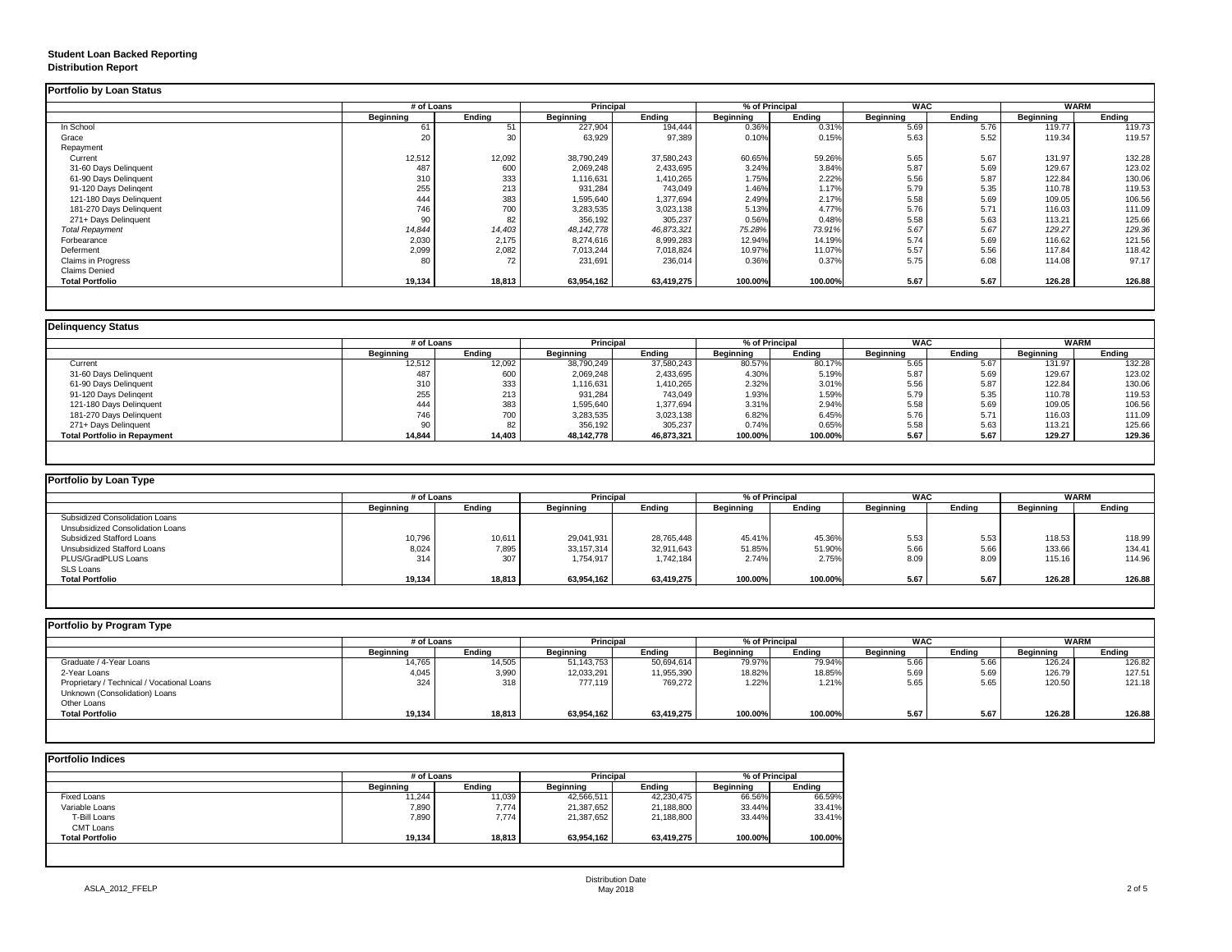# **Student Loan Backed Reporting Distribution Report**

## **Delinquency Status**

|                         | # of Loans       |               | <b>Principal</b> |               | % of Principal   |               | <b>WAC</b>       |               | <b>WARM</b>      |               |
|-------------------------|------------------|---------------|------------------|---------------|------------------|---------------|------------------|---------------|------------------|---------------|
|                         | <b>Beginning</b> | <b>Ending</b> | <b>Beginning</b> | <b>Ending</b> | <b>Beginning</b> | <b>Ending</b> | <b>Beginning</b> | <b>Ending</b> | <b>Beginning</b> | <b>Ending</b> |
| In School               | 61               | 51            | 227,904          | 194,444       | 0.36%            | 0.31%         | 5.69             | 5.76          | 119.77           | 119.73        |
| Grace                   | 20               | 30            | 63,929           | 97,389        | 0.10%            | 0.15%         | 5.63             | 5.52          | 119.34           | 119.57        |
| Repayment               |                  |               |                  |               |                  |               |                  |               |                  |               |
| Current                 | 12,512           | 12,092        | 38,790,249       | 37,580,243    | 60.65%           | 59.26%        | 5.65             | 5.67          | 131.97           | 132.28        |
| 31-60 Days Delinquent   | 487              | 600           | 2,069,248        | 2,433,695     | 3.24%            | 3.84%         | 5.87             | 5.69          | 129.67           | 123.02        |
| 61-90 Days Delinquent   | 310              | 333           | 1,116,631        | 1,410,265     | 1.75%            | 2.22%         | 5.56             | 5.87          | 122.84           | 130.06        |
| 91-120 Days Delingent   | 255              | 213           | 931,284          | 743,049       | 1.46%            | 1.17%         | 5.79             | 5.35          | 110.78           | 119.53        |
| 121-180 Days Delinquent | 444              | 383           | 1,595,640        | 1,377,694     | 2.49%            | 2.17%         | 5.58             | 5.69          | 109.05           | 106.56        |
| 181-270 Days Delinquent | 746              | 700           | 3,283,535        | 3,023,138     | 5.13%            | 4.77%         | 5.76             | 5.71          | 116.03           | 111.09        |
| 271+ Days Delinquent    | 90               | 82            | 356,192          | 305,237       | 0.56%            | 0.48%         | 5.58             | 5.63          | 113.21           | 125.66        |
| <b>Total Repayment</b>  | 14,844           | 14,403        | 48, 142, 778     | 46,873,321    | 75.28%           | 73.91%        | 5.67             | 5.67          | 129.27           | 129.36        |
| Forbearance             | 2,030            | 2,175         | 8,274,616        | 8,999,283     | 12.94%           | 14.19%        | 5.74             | 5.69          | 116.62           | 121.56        |
| Deferment               | 2,099            | 2,082         | 7,013,244        | 7,018,824     | 10.97%           | 11.07%        | 5.57             | 5.56          | 117.84           | 118.42        |
| Claims in Progress      | 80               | 72            | 231,691          | 236,014       | 0.36%            | 0.37%         | 5.75             | 6.08          | 114.08           | 97.17         |
| <b>Claims Denied</b>    |                  |               |                  |               |                  |               |                  |               |                  |               |
| <b>Total Portfolio</b>  | 19,134           | 18,813        | 63,954,162       | 63,419,275    | 100.00%          | 100.00%       | 5.67             | 5.67          | 126.28           | 126.88        |

|                                     | # of Loans       |               | <b>Principal</b> |               | % of Principal   |               | <b>WAC</b><br><b>WARM</b> |        |                  |               |
|-------------------------------------|------------------|---------------|------------------|---------------|------------------|---------------|---------------------------|--------|------------------|---------------|
|                                     | <b>Beginning</b> | <b>Ending</b> | <b>Beginning</b> | <b>Ending</b> | <b>Beginning</b> | <b>Ending</b> | <b>Beginning</b>          | Ending | <b>Beginning</b> | <b>Ending</b> |
| Current                             | 12,512           | 12,092        | 38,790,249       | 37,580,243    | 80.57%           | 80.17%        | 5.65                      | 5.67   | 131.97           | 132.28        |
| 31-60 Days Delinquent               | 487              | 600           | 2,069,248        | 2,433,695     | 4.30%            | 5.19%         | 5.87                      | 5.69   | 129.67           | 123.02        |
| 61-90 Days Delinquent               | 310              | 333           | 1,116,631        | 1,410,265     | 2.32%            | 3.01%         | 5.56                      | 5.87   | 122.84           | 130.06        |
| 91-120 Days Delingent               | 255              | 213           | 931,284          | 743,049       | 1.93%            | 1.59%         | 5.79                      | 5.35   | 110.78           | 119.53        |
| 121-180 Days Delinquent             | 444              | 383           | 1,595,640        | 1,377,694     | 3.31%            | 2.94%         | 5.58                      | 5.69   | 109.05           | 106.56        |
| 181-270 Days Delinquent             | 746              | 700           | 3,283,535        | 3,023,138     | 6.82%            | 6.45%         | 5.76                      | 5.71   | 116.03           | 111.09        |
| 271+ Days Delinquent                |                  | 82            | 356,192          | 305,237       | 0.74%            | 0.65%         | 5.58                      | 5.63   | 113.21           | 125.66        |
| <b>Total Portfolio in Repayment</b> | 14,844           | 14,403        | 48,142,778       | 46,873,321    | 100.00%          | 100.00%       | 5.67                      | 5.67   | 129.27           | 129.36        |

| <b>Portfolio by Loan Type</b>           |                  |               |                  |               |                  |               |                  |               |                  |               |  |
|-----------------------------------------|------------------|---------------|------------------|---------------|------------------|---------------|------------------|---------------|------------------|---------------|--|
|                                         | # of Loans       |               | <b>Principal</b> |               | % of Principal   |               | <b>WAC</b>       |               |                  | <b>WARM</b>   |  |
|                                         | <b>Beginning</b> | <b>Ending</b> | <b>Beginning</b> | <b>Ending</b> | <b>Beginning</b> | <b>Ending</b> | <b>Beginning</b> | <b>Ending</b> | <b>Beginning</b> | <b>Ending</b> |  |
| <b>Subsidized Consolidation Loans</b>   |                  |               |                  |               |                  |               |                  |               |                  |               |  |
| <b>Unsubsidized Consolidation Loans</b> |                  |               |                  |               |                  |               |                  |               |                  |               |  |
| <b>Subsidized Stafford Loans</b>        | 10,796           | 10,611        | 29,041,931       | 28,765,448    | 45.41%           | 45.36%        | 5.53             | 5.53          | 118.53           | 118.99        |  |
| <b>Unsubsidized Stafford Loans</b>      | 8,024            | 7,895         | 33,157,314       | 32,911,643    | 51.85%           | 51.90%        | 5.66             | 5.66          | 133.66           | 134.41        |  |
| PLUS/GradPLUS Loans                     | 314              | 307           | 1,754,917        | 1,742,184     | 2.74%            | 2.75%         | 8.09             | 8.09          | 115.16           | 114.96        |  |
| <b>SLS Loans</b>                        |                  |               |                  |               |                  |               |                  |               |                  |               |  |
| <b>Total Portfolio</b>                  | 19,134           | 18,813        | 63,954,162       | 63,419,275    | 100.00%          | 100.00%       | 5.67             | 5.67          | 126.28           | 126.88        |  |

| Portfolio by Program Type                  |                  |               |                  |               |                  |               |                  |               |                  |               |
|--------------------------------------------|------------------|---------------|------------------|---------------|------------------|---------------|------------------|---------------|------------------|---------------|
|                                            | # of Loans       |               | <b>Principal</b> |               | % of Principal   |               | <b>WAC</b>       |               | <b>WARM</b>      |               |
|                                            | <b>Beginning</b> | <b>Ending</b> | <b>Beginning</b> | <b>Ending</b> | <b>Beginning</b> | <b>Ending</b> | <b>Beginning</b> | <b>Ending</b> | <b>Beginning</b> | <b>Ending</b> |
| Graduate / 4-Year Loans                    | 14,765           | 14,505        | 51,143,753       | 50,694,614    | 79.97%           | 79.94%        | 5.66             | 5.66          | 126.24           | 126.82        |
| 2-Year Loans                               | 4,045            | 3,990         | 12,033,291       | 11,955,390    | 18.82%           | 18.85%        | 5.69             | 5.69          | 126.79           | 127.51        |
| Proprietary / Technical / Vocational Loans | 324              | 318           | 777,119          | 769,272       | 1.22%            | 1.21%         | 5.65             | 5.65          | 120.50           | 121.18        |
| Unknown (Consolidation) Loans              |                  |               |                  |               |                  |               |                  |               |                  |               |
| Other Loans                                |                  |               |                  |               |                  |               |                  |               |                  |               |
| <b>Total Portfolio</b>                     | 19,134           | 18,813        | 63,954,162       | 63,419,275    | 100.00%          | 100.00%       | 5.67             | 5.67          | 126.28           | 126.88        |
|                                            |                  |               |                  |               |                  |               |                  |               |                  |               |

|                        |                  | # of Loans    |                  | <b>Principal</b> | % of Principal   |               |  |
|------------------------|------------------|---------------|------------------|------------------|------------------|---------------|--|
|                        | <b>Beginning</b> | <b>Ending</b> | <b>Beginning</b> | <b>Ending</b>    | <b>Beginning</b> | <b>Ending</b> |  |
| <b>Fixed Loans</b>     | 11,244           | 11,039        | 42,566,511       | 42,230,475       | 66.56%           | 66.59%        |  |
| Variable Loans         | 7,890            | 7,774         | 21,387,652       | 21,188,800       | 33.44%           | 33.41%        |  |
| T-Bill Loans           | 7,890            | 7,774         | 21,387,652       | 21,188,800       | 33.44%           | 33.41%        |  |
| <b>CMT Loans</b>       |                  |               |                  |                  |                  |               |  |
| <b>Total Portfolio</b> | 19,134           | 18,813        | 63,954,162       | 63,419,275       | 100.00%          | 100.00%       |  |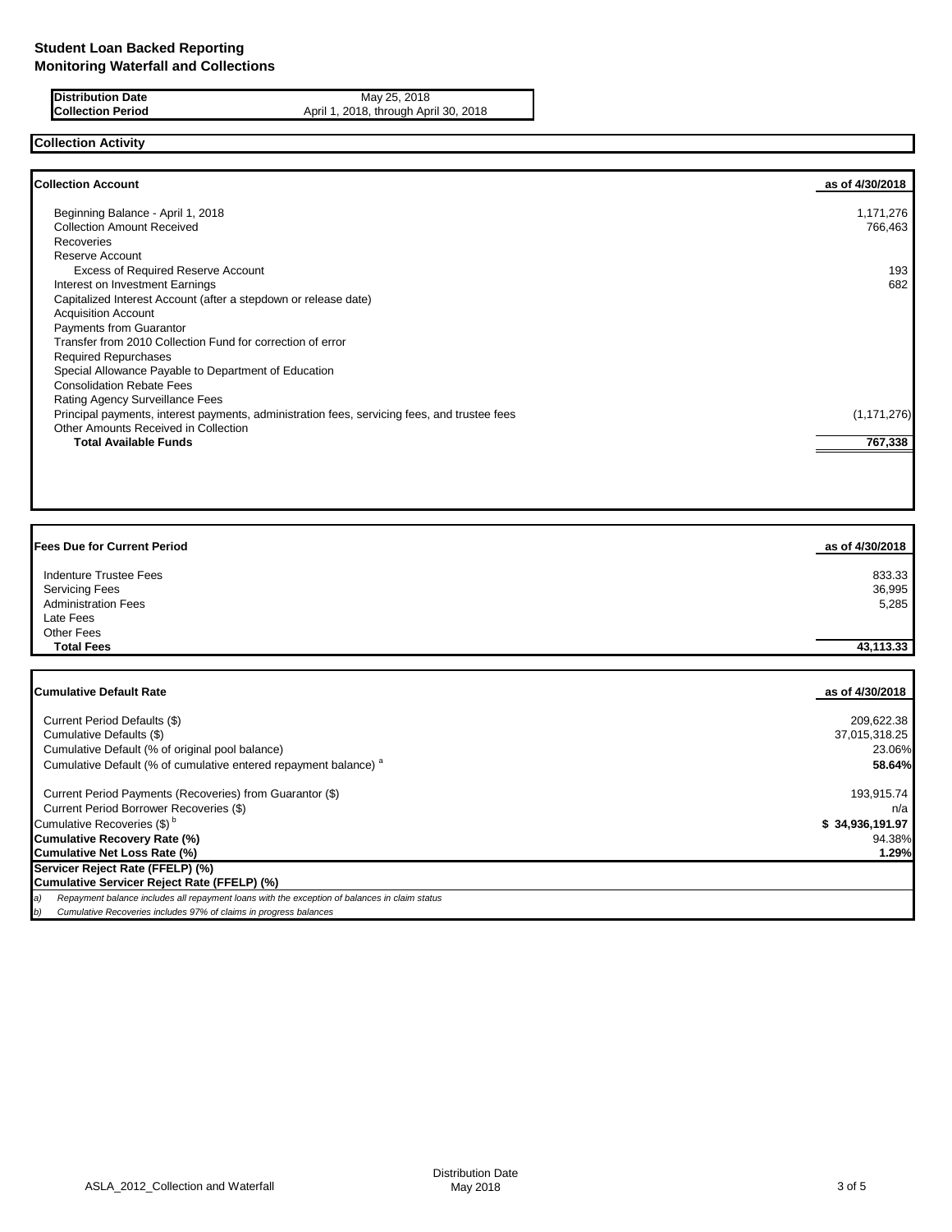**Distribution Date** May 25, 2018<br>**Collection Period** April 1, 2018, through Apr April 1, 2018, through April 30, 2018

# **Collection Activity**

| <b>Collection Account</b>                                                                    | as of 4/30/2018 |
|----------------------------------------------------------------------------------------------|-----------------|
| Beginning Balance - April 1, 2018                                                            | 1,171,276       |
| <b>Collection Amount Received</b>                                                            | 766,463         |
| Recoveries                                                                                   |                 |
| Reserve Account                                                                              |                 |
| <b>Excess of Required Reserve Account</b>                                                    | 193             |
| Interest on Investment Earnings                                                              | 682             |
| Capitalized Interest Account (after a stepdown or release date)                              |                 |
| <b>Acquisition Account</b>                                                                   |                 |
| Payments from Guarantor                                                                      |                 |
| Transfer from 2010 Collection Fund for correction of error                                   |                 |
| <b>Required Repurchases</b>                                                                  |                 |
| Special Allowance Payable to Department of Education                                         |                 |
| <b>Consolidation Rebate Fees</b>                                                             |                 |
| Rating Agency Surveillance Fees                                                              |                 |
| Principal payments, interest payments, administration fees, servicing fees, and trustee fees | (1, 171, 276)   |
| Other Amounts Received in Collection                                                         |                 |
| <b>Total Available Funds</b>                                                                 | 767,338         |
|                                                                                              |                 |

| <b>Fees Due for Current Period</b> | as of 4/30/2018 |
|------------------------------------|-----------------|
| <b>Indenture Trustee Fees</b>      | 833.33          |
| <b>Servicing Fees</b>              | 36,995          |
| <b>Administration Fees</b>         | 5,285           |
| Late Fees                          |                 |
| Other Fees                         |                 |
| <b>Total Fees</b>                  | 43,113.33       |
|                                    |                 |
| <b>Cumulative Default Rate</b>     | as of 4/30/2018 |

| Current Period Defaults (\$)                                                                        | 209,622.38      |
|-----------------------------------------------------------------------------------------------------|-----------------|
| Cumulative Defaults (\$)                                                                            | 37,015,318.25   |
| Cumulative Default (% of original pool balance)                                                     | 23.06%          |
| Cumulative Default (% of cumulative entered repayment balance) <sup>a</sup>                         | 58.64%          |
| Current Period Payments (Recoveries) from Guarantor (\$)                                            | 193,915.74      |
| Current Period Borrower Recoveries (\$)                                                             | $n/a$ I         |
| Cumulative Recoveries (\$) <sup>b</sup>                                                             | \$34,936,191.97 |
| <b>Cumulative Recovery Rate (%)</b>                                                                 | 94.38%          |
| <b>Cumulative Net Loss Rate (%)</b>                                                                 | 1.29%           |
| Servicer Reject Rate (FFELP) (%)                                                                    |                 |
| <b>Cumulative Servicer Reject Rate (FFELP) (%)</b>                                                  |                 |
| Repayment balance includes all repayment loans with the exception of balances in claim status<br>a) |                 |
| Cumulative Recoveries includes 97% of claims in progress balances<br>b)                             |                 |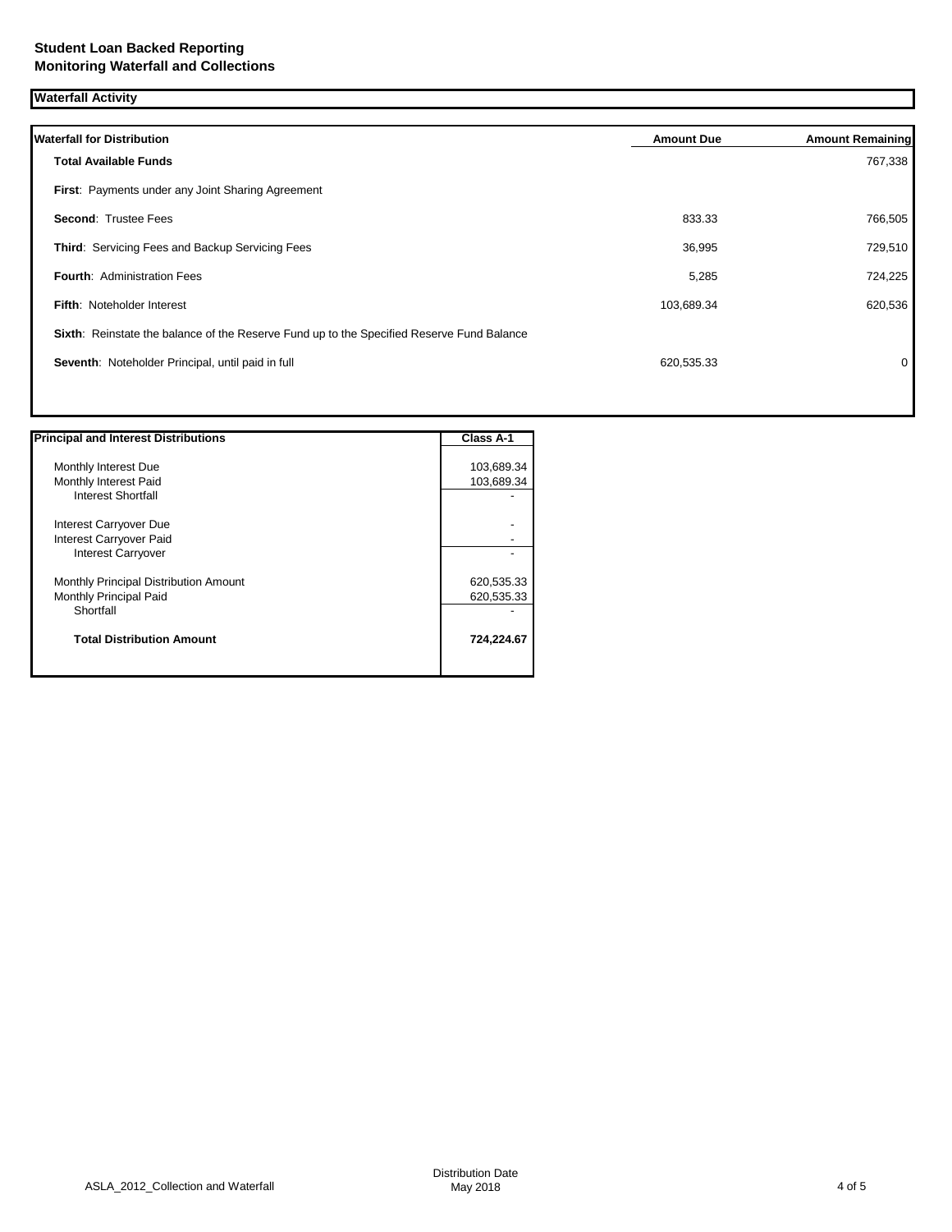| <b>Waterfall Activity</b>                                                                 |                   |                         |
|-------------------------------------------------------------------------------------------|-------------------|-------------------------|
| <b>Waterfall for Distribution</b>                                                         | <b>Amount Due</b> | <b>Amount Remaining</b> |
| <b>Total Available Funds</b>                                                              |                   | 767,338                 |
| First: Payments under any Joint Sharing Agreement                                         |                   |                         |
| Second: Trustee Fees                                                                      | 833.33            | 766,505                 |
| Third: Servicing Fees and Backup Servicing Fees                                           | 36,995            | 729,510                 |
| <b>Fourth: Administration Fees</b>                                                        | 5,285             | 724,225                 |
| <b>Fifth: Noteholder Interest</b>                                                         | 103,689.34        | 620,536                 |
| Sixth: Reinstate the balance of the Reserve Fund up to the Specified Reserve Fund Balance |                   |                         |
| Seventh: Noteholder Principal, until paid in full                                         | 620,535.33        | 0                       |
|                                                                                           |                   |                         |

| <b>Principal and Interest Distributions</b> | <b>Class A-1</b> |
|---------------------------------------------|------------------|
| Monthly Interest Due                        | 103,689.34       |
| Monthly Interest Paid                       | 103,689.34       |
| Interest Shortfall                          |                  |
| Interest Carryover Due                      |                  |
| Interest Carryover Paid                     |                  |
| Interest Carryover                          |                  |
| Monthly Principal Distribution Amount       | 620,535.33       |
| Monthly Principal Paid                      | 620,535.33       |
| Shortfall                                   |                  |
| <b>Total Distribution Amount</b>            | 724,224.67       |
|                                             |                  |